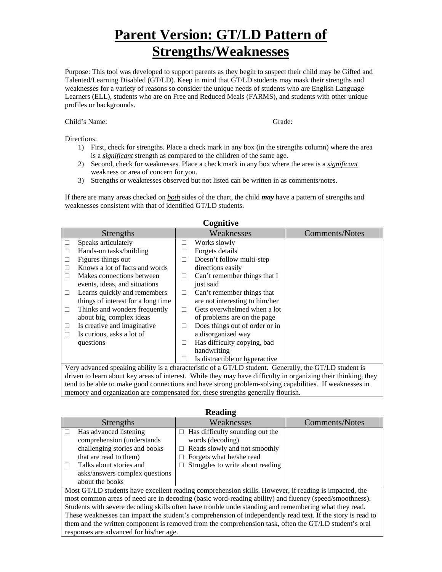Purpose: This tool was developed to support parents as they begin to suspect their child may be Gifted and Talented/Learning Disabled (GT/LD). Keep in mind that GT/LD students may mask their strengths and weaknesses for a variety of reasons so consider the unique needs of students who are English Language Learners (ELL), students who are on Free and Reduced Meals (FARMS), and students with other unique profiles or backgrounds.

#### Child's Name: Grade:

#### Directions:

- 1) First, check for strengths. Place a check mark in any box (in the strengths column) where the area is a *significant* strength as compared to the children of the same age.
- 2) Second, check for weaknesses. Place a check mark in any box where the area is a *significant* weakness or area of concern for you.
- 3) Strengths or weaknesses observed but not listed can be written in as comments/notes.

If there are many areas checked on *both* sides of the chart, the child *may* have a pattern of strengths and weaknesses consistent with that of identified GT/LD students.

**Cognitive** 

|           | <b>CULLUIV</b>                                                                                                                                                                                                                             |                          |                                |                       |  |
|-----------|--------------------------------------------------------------------------------------------------------------------------------------------------------------------------------------------------------------------------------------------|--------------------------|--------------------------------|-----------------------|--|
| Strengths |                                                                                                                                                                                                                                            |                          | Weaknesses                     | <b>Comments/Notes</b> |  |
| П         | Speaks articulately                                                                                                                                                                                                                        | П                        | Works slowly                   |                       |  |
|           | Hands-on tasks/building                                                                                                                                                                                                                    | ×.                       | Forgets details                |                       |  |
|           | Figures things out                                                                                                                                                                                                                         | n.                       | Doesn't follow multi-step      |                       |  |
|           | Knows a lot of facts and words                                                                                                                                                                                                             |                          | directions easily              |                       |  |
|           | Makes connections between                                                                                                                                                                                                                  | $\Box$                   | Can't remember things that I   |                       |  |
|           | events, ideas, and situations                                                                                                                                                                                                              |                          | just said                      |                       |  |
| П         | Learns quickly and remembers                                                                                                                                                                                                               | $\Box$                   | Can't remember things that     |                       |  |
|           | things of interest for a long time                                                                                                                                                                                                         |                          | are not interesting to him/her |                       |  |
| ⊔         | Thinks and wonders frequently                                                                                                                                                                                                              | П                        | Gets overwhelmed when a lot    |                       |  |
|           | about big, complex ideas                                                                                                                                                                                                                   |                          | of problems are on the page    |                       |  |
|           | Is creative and imaginative                                                                                                                                                                                                                | Ш                        | Does things out of order or in |                       |  |
| П         | Is curious, asks a lot of                                                                                                                                                                                                                  |                          | a disorganized way             |                       |  |
|           | questions                                                                                                                                                                                                                                  | П                        | Has difficulty copying, bad    |                       |  |
|           |                                                                                                                                                                                                                                            |                          | handwriting                    |                       |  |
|           |                                                                                                                                                                                                                                            | $\overline{\phantom{a}}$ | Is distractible or hyperactive |                       |  |
| <b>TT</b> | $\cdots$<br>$-1$ . $-1$ . $-1$ . $-1$ . $-1$<br>$\mathbf{u}$ $\mathbf{u}$ $\mathbf{v}$ $\mathbf{v}$ $\mathbf{v}$ $\mathbf{v}$ $\mathbf{v}$ $\mathbf{v}$ $\mathbf{v}$<br>$\mathbf{1}$<br>$\mathbf{I}$<br>$\sim$ $\sim$ $\sim$ $\sim$ $\sim$ |                          |                                |                       |  |

Very advanced speaking ability is a characteristic of a GT/LD student. Generally, the GT/LD student is driven to learn about key areas of interest. While they may have difficulty in organizing their thinking, they tend to be able to make good connections and have strong problem-solving capabilities. If weaknesses in memory and organization are compensated for, these strengths generally flourish.

|                                                                                                             | <b>Strengths</b>                                                                                      | Weaknesses                             | <b>Comments/Notes</b> |  |  |
|-------------------------------------------------------------------------------------------------------------|-------------------------------------------------------------------------------------------------------|----------------------------------------|-----------------------|--|--|
| П                                                                                                           | Has advanced listening                                                                                | $\Box$ Has difficulty sounding out the |                       |  |  |
|                                                                                                             | comprehension (understands                                                                            | words (decoding)                       |                       |  |  |
|                                                                                                             | challenging stories and books                                                                         | Reads slowly and not smoothly<br>П.    |                       |  |  |
|                                                                                                             | that are read to them)                                                                                | Forgets what he/she read               |                       |  |  |
| Ш                                                                                                           | Talks about stories and                                                                               | Struggles to write about reading       |                       |  |  |
|                                                                                                             | asks/answers complex questions                                                                        |                                        |                       |  |  |
|                                                                                                             | about the books                                                                                       |                                        |                       |  |  |
| Most GT/LD students have excellent reading comprehension skills. However, if reading is impacted, the       |                                                                                                       |                                        |                       |  |  |
| most common areas of need are in decoding (basic word-reading ability) and fluency (speed/smoothness).      |                                                                                                       |                                        |                       |  |  |
| Students with severe decoding skills often have trouble understanding and remembering what they read.       |                                                                                                       |                                        |                       |  |  |
| These weaknesses can impact the student's comprehension of independently read text. If the story is read to |                                                                                                       |                                        |                       |  |  |
|                                                                                                             | them and the written component is removed from the comprehension task, often the GT/LD student's oral |                                        |                       |  |  |
|                                                                                                             | responses are advanced for his/her age.                                                               |                                        |                       |  |  |

#### **Reading**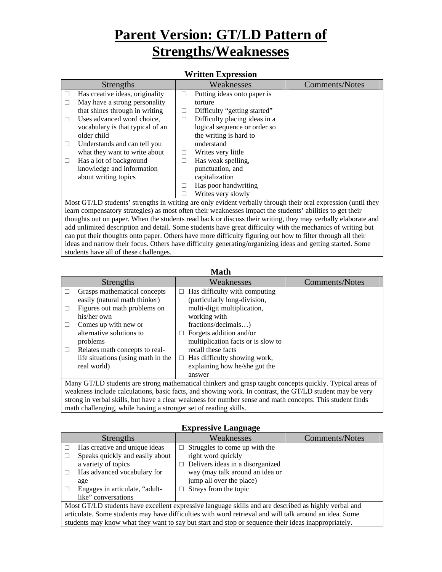| , , 1100011 1211p1 0551011 |                                                                                                                                                                                                                                                                                                                                                                                                                                                                                                                                                                                                                                                 |        |                               |                       |
|----------------------------|-------------------------------------------------------------------------------------------------------------------------------------------------------------------------------------------------------------------------------------------------------------------------------------------------------------------------------------------------------------------------------------------------------------------------------------------------------------------------------------------------------------------------------------------------------------------------------------------------------------------------------------------------|--------|-------------------------------|-----------------------|
| Strengths                  |                                                                                                                                                                                                                                                                                                                                                                                                                                                                                                                                                                                                                                                 |        | Weaknesses                    | <b>Comments/Notes</b> |
|                            | Has creative ideas, originality                                                                                                                                                                                                                                                                                                                                                                                                                                                                                                                                                                                                                 | П      | Putting ideas onto paper is   |                       |
|                            | May have a strong personality                                                                                                                                                                                                                                                                                                                                                                                                                                                                                                                                                                                                                   |        | torture                       |                       |
|                            | that shines through in writing                                                                                                                                                                                                                                                                                                                                                                                                                                                                                                                                                                                                                  | $\Box$ | Difficulty "getting started"  |                       |
|                            | Uses advanced word choice,                                                                                                                                                                                                                                                                                                                                                                                                                                                                                                                                                                                                                      | □      | Difficulty placing ideas in a |                       |
|                            | vocabulary is that typical of an                                                                                                                                                                                                                                                                                                                                                                                                                                                                                                                                                                                                                |        | logical sequence or order so  |                       |
|                            | older child                                                                                                                                                                                                                                                                                                                                                                                                                                                                                                                                                                                                                                     |        | the writing is hard to        |                       |
|                            | Understands and can tell you                                                                                                                                                                                                                                                                                                                                                                                                                                                                                                                                                                                                                    |        | understand                    |                       |
|                            | what they want to write about                                                                                                                                                                                                                                                                                                                                                                                                                                                                                                                                                                                                                   | $\Box$ | Writes very little            |                       |
|                            | Has a lot of background                                                                                                                                                                                                                                                                                                                                                                                                                                                                                                                                                                                                                         | П      | Has weak spelling,            |                       |
|                            | knowledge and information                                                                                                                                                                                                                                                                                                                                                                                                                                                                                                                                                                                                                       |        | punctuation, and              |                       |
|                            | about writing topics                                                                                                                                                                                                                                                                                                                                                                                                                                                                                                                                                                                                                            |        | capitalization                |                       |
|                            |                                                                                                                                                                                                                                                                                                                                                                                                                                                                                                                                                                                                                                                 | П      | Has poor handwriting          |                       |
|                            |                                                                                                                                                                                                                                                                                                                                                                                                                                                                                                                                                                                                                                                 |        | Writes very slowly            |                       |
|                            | $\frac{1}{1}$ , $\frac{1}{1}$ , $\frac{1}{1}$ , $\frac{1}{1}$ , $\frac{1}{1}$ , $\frac{1}{1}$ , $\frac{1}{1}$ , $\frac{1}{1}$ , $\frac{1}{1}$ , $\frac{1}{1}$ , $\frac{1}{1}$ , $\frac{1}{1}$ , $\frac{1}{1}$ , $\frac{1}{1}$ , $\frac{1}{1}$ , $\frac{1}{1}$ , $\frac{1}{1}$ , $\frac{1}{1}$ , $\frac{1$<br>$\mathbf{M}$ $\mathbf{M}$ $\mathbf{M}$ $\mathbf{M}$ $\mathbf{N}$ $\mathbf{M}$ $\mathbf{M}$ $\mathbf{M}$ $\mathbf{M}$ $\mathbf{M}$ $\mathbf{M}$ $\mathbf{M}$ $\mathbf{M}$ $\mathbf{M}$ $\mathbf{M}$ $\mathbf{M}$ $\mathbf{M}$ $\mathbf{M}$ $\mathbf{M}$ $\mathbf{M}$ $\mathbf{M}$ $\mathbf{M}$ $\mathbf{M}$ $\mathbf{M}$ $\mathbf{$ |        |                               |                       |

#### **Written Expression**

Most GT/LD students' strengths in writing are only evident verbally through their oral expression (until they learn compensatory strategies) as most often their weaknesses impact the students' abilities to get their thoughts out on paper. When the students read back or discuss their writing, they may verbally elaborate and add unlimited description and detail. Some students have great difficulty with the mechanics of writing but can put their thoughts onto paper. Others have more difficulty figuring out how to filter through all their ideas and narrow their focus. Others have difficulty generating/organizing ideas and getting started. Some students have all of these challenges.

| math                                                                                                      |                                    |        |                                    |                |
|-----------------------------------------------------------------------------------------------------------|------------------------------------|--------|------------------------------------|----------------|
|                                                                                                           | <b>Strengths</b>                   |        | Weaknesses                         | Comments/Notes |
|                                                                                                           | Grasps mathematical concepts       | п      | Has difficulty with computing      |                |
|                                                                                                           | easily (natural math thinker)      |        | (particularly long-division,       |                |
| П                                                                                                         | Figures out math problems on       |        | multi-digit multiplication,        |                |
|                                                                                                           | his/her own                        |        | working with                       |                |
| П                                                                                                         | Comes up with new or               |        | fractions/decimals)                |                |
|                                                                                                           | alternative solutions to           | $\Box$ | Forgets addition and/or            |                |
|                                                                                                           | problems                           |        | multiplication facts or is slow to |                |
| □                                                                                                         | Relates math concepts to real-     |        | recall these facts                 |                |
|                                                                                                           | life situations (using math in the | $\Box$ | Has difficulty showing work,       |                |
|                                                                                                           | real world)                        |        | explaining how he/she got the      |                |
|                                                                                                           |                                    |        | answer                             |                |
| Many GT/LD students are strong mathematical thinkers and grasp taught concepts quickly. Typical areas of  |                                    |        |                                    |                |
| weakness include calculations, basic facts, and showing work. In contrast, the GT/LD student may be very  |                                    |        |                                    |                |
| strong in verbal skills, but have a clear weakness for number sense and math concepts. This student finds |                                    |        |                                    |                |

**Math Math** 

## **Expressive Language**

math challenging, while having a stronger set of reading skills.

| <b>Strengths</b>                                                                                       |                                                                                                     | Weaknesses                              | Comments/Notes |  |
|--------------------------------------------------------------------------------------------------------|-----------------------------------------------------------------------------------------------------|-----------------------------------------|----------------|--|
|                                                                                                        | Has creative and unique ideas                                                                       | Struggles to come up with the<br>$\Box$ |                |  |
|                                                                                                        | Speaks quickly and easily about                                                                     | right word quickly                      |                |  |
|                                                                                                        | a variety of topics                                                                                 | $\Box$ Delivers ideas in a disorganized |                |  |
|                                                                                                        | Has advanced vocabulary for                                                                         | way (may talk around an idea or         |                |  |
|                                                                                                        | age                                                                                                 | jump all over the place)                |                |  |
|                                                                                                        | Engages in articulate, "adult-                                                                      | $\Box$ Strays from the topic            |                |  |
|                                                                                                        | like" conversations                                                                                 |                                         |                |  |
| Most GT/LD students have excellent expressive language skills and are described as highly verbal and   |                                                                                                     |                                         |                |  |
| articulate. Some students may have difficulties with word retrieval and will talk around an idea. Some |                                                                                                     |                                         |                |  |
|                                                                                                        | students may know what they want to say but start and stop or sequence their ideas inappropriately. |                                         |                |  |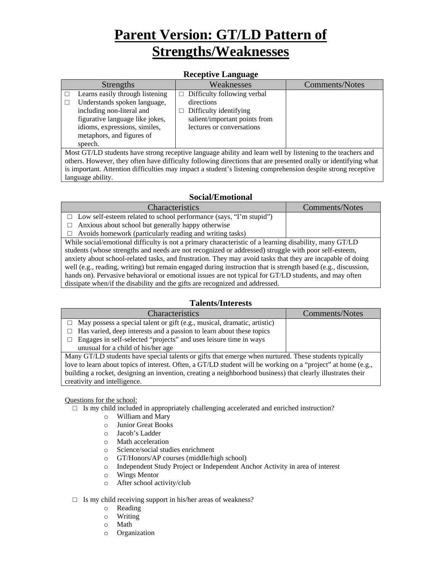### **Receptive Language**

| - 0                                                                                                        |                                                                                                                                                                                               |                                                                                                                                          |                |  |
|------------------------------------------------------------------------------------------------------------|-----------------------------------------------------------------------------------------------------------------------------------------------------------------------------------------------|------------------------------------------------------------------------------------------------------------------------------------------|----------------|--|
|                                                                                                            | <b>Strengths</b>                                                                                                                                                                              | Weaknesses                                                                                                                               | Comments/Notes |  |
| speech.                                                                                                    | Learns easily through listening<br>Understands spoken language,<br>including non-literal and<br>figurative language like jokes,<br>idioms, expressions, similes,<br>metaphors, and figures of | $\Box$ Difficulty following verbal<br>directions<br>Difficulty identifying<br>salient/important points from<br>lectures or conversations |                |  |
| Most GT/LD students have strong receptive language ability and learn well by listening to the teachers and |                                                                                                                                                                                               |                                                                                                                                          |                |  |

others. However, they often have difficulty following directions that are presented orally or identifying what is important. Attention difficulties may impact a student's listening comprehension despite strong receptive language ability.

## **Social/Emotional**

| <b>Characteristics</b>                                                                                        | <b>Comments/Notes</b> |  |
|---------------------------------------------------------------------------------------------------------------|-----------------------|--|
| $\Box$ Low self-esteem related to school performance (says, "I'm stupid")                                     |                       |  |
| Anxious about school but generally happy otherwise<br>П                                                       |                       |  |
| $\Box$ Avoids homework (particularly reading and writing tasks)                                               |                       |  |
| While social/emotional difficulty is not a primary characteristic of a learning disability, many GT/LD        |                       |  |
| students (whose strengths and needs are not recognized or addressed) struggle with poor self-esteem,          |                       |  |
| anxiety about school-related tasks, and frustration. They may avoid tasks that they are incapable of doing    |                       |  |
| well (e.g., reading, writing) but remain engaged during instruction that is strength based (e.g., discussion, |                       |  |
| hands on). Pervasive behavioral or emotional issues are not typical for GT/LD students, and may often         |                       |  |
| dissipate when/if the disability and the gifts are recognized and addressed.                                  |                       |  |

## **Talents/Interests**

| <b>Characteristics</b>                                                                                       | Comments/Notes |  |  |  |
|--------------------------------------------------------------------------------------------------------------|----------------|--|--|--|
| $\Box$ May possess a special talent or gift (e.g., musical, dramatic, artistic)                              |                |  |  |  |
| $\Box$ Has varied, deep interests and a passion to learn about these topics                                  |                |  |  |  |
| Engages in self-selected "projects" and uses leisure time in ways<br>$\Box$                                  |                |  |  |  |
| unusual for a child of his/her age                                                                           |                |  |  |  |
| Many GT/LD students have special talents or gifts that emerge when nurtured. These students typically        |                |  |  |  |
| love to learn about topics of interest. Often, a GT/LD student will be working on a "project" at home (e.g., |                |  |  |  |
| building a rocket, designing an invention, creating a neighborhood business) that clearly illustrates their  |                |  |  |  |
| creativity and intelligence.                                                                                 |                |  |  |  |

### Questions for the school:

- □ Is my child included in appropriately challenging accelerated and enriched instruction?
	- o William and Mary
	- o Junior Great Books
	- o Jacob's Ladder
	- o Math acceleration
	- o Science/social studies enrichment
	- o GT/Honors/AP courses (middle/high school)
	- o Independent Study Project or Independent Anchor Activity in area of interest
	- o Wings Mentor
	- o After school activity/club

### $\square$  Is my child receiving support in his/her areas of weakness?

- o Reading
- o Writing
- o Math
- o Organization